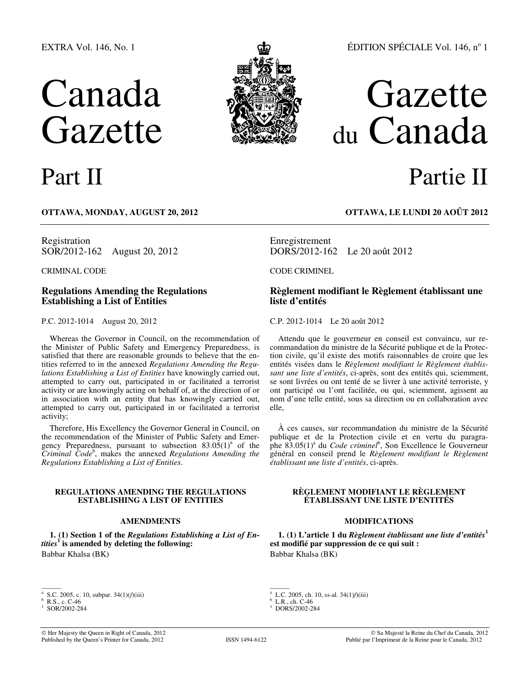## EXTRA Vol. 146, No. 1

## Canada **Gazette**

**OTTAWA, MONDAY, AUGUST 20, 2012 OTTAWA, LE LUNDI 20 AOÛT 2012** 

Registration Enregistrement

## **Regulations Amending the Regulations Establishing a List of Entities**

Whereas the Governor in Council, on the recommendation of the Minister of Public Safety and Emergency Preparedness, is satisfied that there are reasonable grounds to believe that the entities referred to in the annexed *Regulations Amending the Regulations Establishing a List of Entities* have knowingly carried out, attempted to carry out, participated in or facilitated a terrorist activity or are knowingly acting on behalf of, at the direction of or in association with an entity that has knowingly carried out, attempted to carry out, participated in or facilitated a terrorist activity;

Therefore, His Excellency the Governor General in Council, on the recommendation of the Minister of Public Safety and Emergency Preparedness, pursuant to subsection  $83.05(1)^a$  of the *Criminal Code*<sup>b</sup> , makes the annexed *Regulations Amending the Regulations Establishing a List of Entities*.

### **REGULATIONS AMENDING THE REGULATIONS ESTABLISHING A LIST OF ENTITIES**

**1. (1) Section 1 of the** *Regulations Establishing a List of Entities***<sup>1</sup> is amended by deleting the following:**  Babbar Khalsa (BK) Babbar Khalsa (BK)

——— ——— <sup>a</sup> S.C. 2005, c. 10, subpar. 34(1)(*f*)(iii) <sup>a</sup>

SOR/2002-284

Published by the Queen's Printer for Canada, 2012 ISSN 1494-6122 Publié par l'Imprimeur de la Reine pour le Canada, 2012



## ÉDITION SPÉCIALE Vol. 146, nº 1

# Gazette du Canada

## Part II Partie II

SOR/2012-162 August 20, 2012 DORS/2012-162 Le 20 août 2012

CRIMINAL CODE CRIMINEL

## **Règlement modifiant le Règlement établissant une liste d'entités**

P.C. 2012-1014 August 20, 2012 C.P. 2012-1014 Le 20 août 2012

Attendu que le gouverneur en conseil est convaincu, sur recommandation du ministre de la Sécurité publique et de la Protection civile, qu'il existe des motifs raisonnables de croire que les entités visées dans le *Règlement modifiant le Règlement établissant une liste d'entités*, ci-après, sont des entités qui, sciemment, se sont livrées ou ont tenté de se livrer à une activité terroriste, y ont participé ou l'ont facilitée, ou qui, sciemment, agissent au nom d'une telle entité, sous sa direction ou en collaboration avec elle,

À ces causes, sur recommandation du ministre de la Sécurité publique et de la Protection civile et en vertu du paragraphe 83.05(1)<sup>a</sup> du *Code criminel*<sup>b</sup>, Son Excellence le Gouverneur général en conseil prend le *Règlement modifiant le Règlement établissant une liste d'entités*, ci-après.

#### **RÈGLEMENT MODIFIANT LE RÈGLEMENT ÉTABLISSANT UNE LISTE D'ENTITÉS**

## **AMENDMENTS** MODIFICATIONS

**1. (1) L'article 1 du** *Règlement établissant une liste d'entités***<sup>1</sup> est modifié par suppression de ce qui suit :** 

<sup>a</sup> L.C. 2005, ch. 10, ss-al. 34(1)*f*)(iii) <sup>b</sup> L.R., ch. C-46

 $\frac{P}{1}$  R.S., c. C-46  $\frac{P}{1}$  DOB (2002.284

DORS/2002-284

R.S., c. C-46 <sup>b</sup>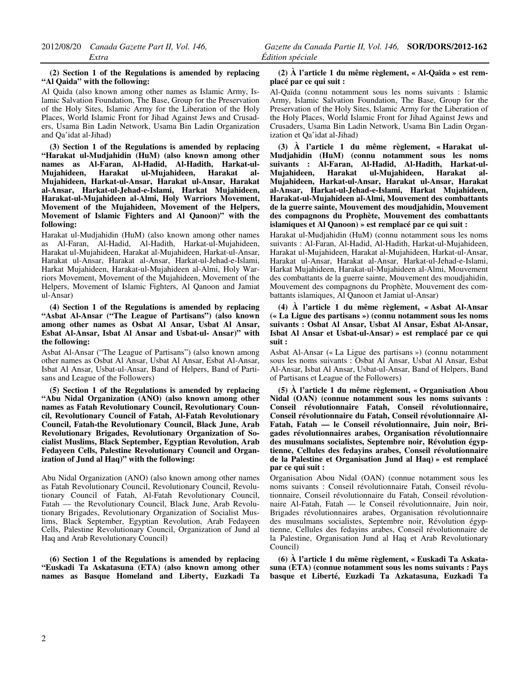#### **(2) Section 1 of the Regulations is amended by replacing "Al Qaida" with the following:**

Al Qaida (also known among other names as Islamic Army, Islamic Salvation Foundation, The Base, Group for the Preservation of the Holy Sites, Islamic Army for the Liberation of the Holy Places, World Islamic Front for Jihad Against Jews and Crusaders, Usama Bin Ladin Network, Usama Bin Ladin Organization and Qa'idat al-Jihad)

**(3) Section 1 of the Regulations is amended by replacing "Harakat ul-Mudjahidin (HuM) (also known among other names as Al-Faran, Al-Hadid, Al-Hadith, Harkat-ul-Mujahideen, Harakat ul-Mujahideen, Harakat al-Mujahideen, Harkat-ul-Ansar, Harakat ul-Ansar, Harakat al-Ansar, Harkat-ul-Jehad-e-Islami, Harkat Mujahideen, Harakat-ul-Mujahideen al-Almi, Holy Warriors Movement, Movement of the Mujahideen, Movement of the Helpers, Movement of Islamic Fighters and Al Qanoon)" with the following:** 

Harakat ul-Mudjahidin (HuM) (also known among other names as Al-Faran, Al-Hadid, Al-Hadith, Harkat-ul-Mujahideen, Harakat ul-Mujahideen, Harakat al-Mujahideen, Harkat-ul-Ansar, Harakat ul-Ansar, Harakat al-Ansar, Harkat-ul-Jehad-e-Islami, Harkat Mujahideen, Harakat-ul-Mujahideen al-Almi, Holy Warriors Movement, Movement of the Mujahideen, Movement of the Helpers, Movement of Islamic Fighters, Al Qanoon and Jamiat ul-Ansar)

**(4) Section 1 of the Regulations is amended by replacing "Asbat Al-Ansar ("The League of Partisans") (also known among other names as Osbat Al Ansar, Usbat Al Ansar, Esbat Al-Ansar, Isbat Al Ansar and Usbat-ul- Ansar)" with the following:** 

Asbat Al-Ansar ("The League of Partisans") (also known among other names as Osbat Al Ansar, Usbat Al Ansar, Esbat Al-Ansar, Isbat Al Ansar, Usbat-ul-Ansar, Band of Helpers, Band of Partisans and League of the Followers)

**(5) Section 1 of the Regulations is amended by replacing "Abu Nidal Organization (ANO) (also known among other names as Fatah Revolutionary Council, Revolutionary Council, Revolutionary Council of Fatah, Al-Fatah Revolutionary Council, Fatah-the Revolutionary Council, Black June, Arab Revolutionary Brigades, Revolutionary Organization of Socialist Muslims, Black September, Egyptian Revolution, Arab Fedayeen Cells, Palestine Revolutionary Council and Organization of Jund al Haq)" with the following:** 

Abu Nidal Organization (ANO) (also known among other names as Fatah Revolutionary Council, Revolutionary Council, Revolutionary Council of Fatah, Al-Fatah Revolutionary Council, Fatah — the Revolutionary Council, Black June, Arab Revolutionary Brigades, Revolutionary Organization of Socialist Muslims, Black September, Egyptian Revolution, Arab Fedayeen Cells, Palestine Revolutionary Council, Organization of Jund al Haq and Arab Revolutionary Council)

**(6) Section 1 of the Regulations is amended by replacing "Euskadi Ta Askatasuna (ETA) (also known among other names as Basque Homeland and Liberty, Euzkadi Ta** 

#### **(2) À l'article 1 du même règlement, « Al-Qaïda » est remplacé par ce qui suit :**

Al-Qaïda (connu notamment sous les noms suivants : Islamic Army, Islamic Salvation Foundation, The Base, Group for the Preservation of the Holy Sites, Islamic Army for the Liberation of the Holy Places, World Islamic Front for Jihad Against Jews and Crusaders, Usama Bin Ladin Network, Usama Bin Ladin Organization et Qa'idat al-Jihad)

**(3) À l'article 1 du même règlement, « Harakat ul-Mudjahidin (HuM) (connu notamment sous les noms suivants : Al-Faran, Al-Hadid, Al-Hadith, Harkat-ul-Mujahideen, Harakat ul-Mujahideen, Harakat al-Mujahideen, Harkat-ul-Ansar, Harakat ul-Ansar, Harakat al-Ansar, Harkat-ul-Jehad-e-Islami, Harkat Mujahideen, Harakat-ul-Mujahideen al-Almi, Mouvement des combattants de la guerre sainte, Mouvement des moudjahidin, Mouvement des compagnons du Prophète, Mouvement des combattants islamiques et Al Qanoon) » est remplacé par ce qui suit :** 

Harakat ul-Mudjahidin (HuM) (connu notamment sous les noms suivants : Al-Faran, Al-Hadid, Al-Hadith, Harkat-ul-Mujahideen, Harakat ul-Mujahideen, Harakat al-Mujahideen, Harkat-ul-Ansar, Harakat ul-Ansar, Harakat al-Ansar, Harkat-ul-Jehad-e-Islami, Harkat Mujahideen, Harakat-ul-Mujahideen al-Almi, Mouvement des combattants de la guerre sainte, Mouvement des moudjahidin, Mouvement des compagnons du Prophète, Mouvement des combattants islamiques, Al Qanoon et Jamiat ul-Ansar)

**(4) À l'article 1 du même règlement, « Asbat Al-Ansar (« La Ligue des partisans ») (connu notamment sous les noms suivants : Osbat Al Ansar, Usbat Al Ansar, Esbat Al-Ansar, Isbat Al Ansar et Usbat-ul-Ansar) » est remplacé par ce qui suit :** 

Asbat Al-Ansar (« La Ligue des partisans ») (connu notamment sous les noms suivants : Osbat Al Ansar, Usbat Al Ansar, Esbat Al-Ansar, Isbat Al Ansar, Usbat-ul-Ansar, Band of Helpers, Band of Partisans et League of the Followers)

**(5) À l'article 1 du même règlement, « Organisation Abou Nidal (OAN) (connue notamment sous les noms suivants : Conseil révolutionnaire Fatah, Conseil révolutionnaire, Conseil révolutionnaire du Fatah, Conseil révolutionnaire Al-Fatah, Fatah — le Conseil révolutionnaire, Juin noir, Brigades révolutionnaires arabes, Organisation révolutionnaire des musulmans socialistes, Septembre noir, Révolution égyptienne, Cellules des fedayins arabes, Conseil révolutionnaire de la Palestine et Organisation Jund al Haq) » est remplacé par ce qui suit :** 

Organisation Abou Nidal (OAN) (connue notamment sous les noms suivants : Conseil révolutionnaire Fatah, Conseil révolutionnaire, Conseil révolutionnaire du Fatah, Conseil révolutionnaire Al-Fatah, Fatah — le Conseil révolutionnaire, Juin noir, Brigades révolutionnaires arabes, Organisation révolutionnaire des musulmans socialistes, Septembre noir, Révolution égyptienne, Cellules des fedayins arabes, Conseil révolutionnaire de la Palestine, Organisation Jund al Haq et Arab Revolutionary Council)

**(6) À l'article 1 du même règlement, « Euskadi Ta Askatasuna (ETA) (connue notamment sous les noms suivants : Pays basque et Liberté, Euzkadi Ta Azkatasuna, Euzkadi Ta**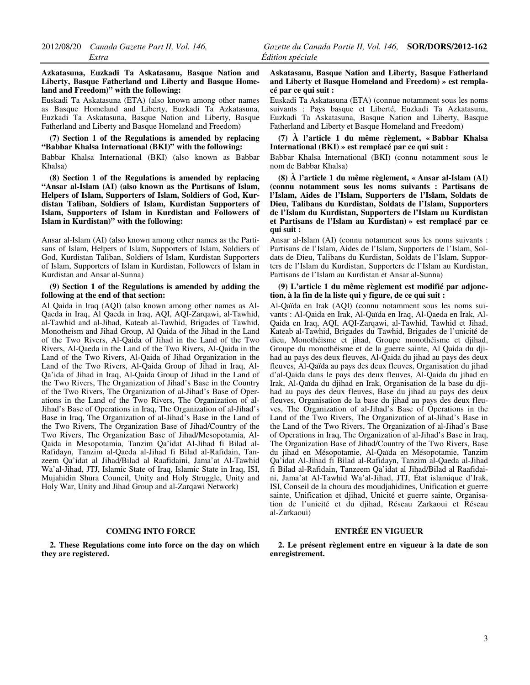#### **Azkatasuna, Euzkadi Ta Askatasanu, Basque Nation and Liberty, Basque Fatherland and Liberty and Basque Homeland and Freedom)" with the following:**

Euskadi Ta Askatasuna (ETA) (also known among other names as Basque Homeland and Liberty, Euzkadi Ta Azkatasuna, Euzkadi Ta Askatasuna, Basque Nation and Liberty, Basque Fatherland and Liberty and Basque Homeland and Freedom)

#### **(7) Section 1 of the Regulations is amended by replacing "Babbar Khalsa International (BKI)" with the following:**

Babbar Khalsa International (BKI) (also known as Babbar Khalsa)

**(8) Section 1 of the Regulations is amended by replacing "Ansar al-Islam (AI) (also known as the Partisans of Islam, Helpers of Islam, Supporters of Islam, Soldiers of God, Kurdistan Taliban, Soldiers of Islam, Kurdistan Supporters of Islam, Supporters of Islam in Kurdistan and Followers of Islam in Kurdistan)" with the following:** 

Ansar al-Islam (AI) (also known among other names as the Partisans of Islam, Helpers of Islam, Supporters of Islam, Soldiers of God, Kurdistan Taliban, Soldiers of Islam, Kurdistan Supporters of Islam, Supporters of Islam in Kurdistan, Followers of Islam in Kurdistan and Ansar al-Sunna)

#### **(9) Section 1 of the Regulations is amended by adding the following at the end of that section:**

Al Qaida in Iraq (AQI) (also known among other names as Al-Qaeda in Iraq, Al Qaeda in Iraq, AQI, AQI-Zarqawi, al-Tawhid, al-Tawhid and al-Jihad, Kateab al-Tawhid, Brigades of Tawhid, Monotheism and Jihad Group, Al Qaida of the Jihad in the Land of the Two Rivers, Al-Qaida of Jihad in the Land of the Two Rivers, Al-Qaeda in the Land of the Two Rivers, Al-Qaida in the Land of the Two Rivers, Al-Qaida of Jihad Organization in the Land of the Two Rivers, Al-Qaida Group of Jihad in Iraq, Al-Qa'ida of Jihad in Iraq, Al-Qaida Group of Jihad in the Land of the Two Rivers, The Organization of Jihad's Base in the Country of the Two Rivers, The Organization of al-Jihad's Base of Operations in the Land of the Two Rivers, The Organization of al-Jihad's Base of Operations in Iraq, The Organization of al-Jihad's Base in Iraq, The Organization of al-Jihad's Base in the Land of the Two Rivers, The Organization Base of Jihad/Country of the Two Rivers, The Organization Base of Jihad/Mesopotamia, Al-Qaida in Mesopotamia, Tanzim Qa'idat Al-Jihad fi Bilad al-Rafidayn, Tanzim al-Qaeda al-Jihad fi Bilad al-Rafidain, Tanzeem Qa'idat al Jihad/Bilad al Raafidaini, Jama'at Al-Tawhid Wa'al-Jihad, JTJ, Islamic State of Iraq, Islamic State in Iraq, ISI, Mujahidin Shura Council, Unity and Holy Struggle, Unity and Holy War, Unity and Jihad Group and al-Zarqawi Network)

**2. These Regulations come into force on the day on which they are registered.** 

#### **Askatasanu, Basque Nation and Liberty, Basque Fatherland and Liberty et Basque Homeland and Freedom) » est remplacé par ce qui suit :**

Euskadi Ta Askatasuna (ETA) (connue notamment sous les noms suivants : Pays basque et Liberté, Euzkadi Ta Azkatasuna, Euzkadi Ta Askatasuna, Basque Nation and Liberty, Basque Fatherland and Liberty et Basque Homeland and Freedom)

#### **(7) À l'article 1 du même règlement, « Babbar Khalsa International (BKI) » est remplacé par ce qui suit :**

Babbar Khalsa International (BKI) (connu notamment sous le nom de Babbar Khalsa)

**(8) À l'article 1 du même règlement, « Ansar al-Islam (AI) (connu notamment sous les noms suivants : Partisans de l'Islam, Aides de l'Islam, Supporters de l'Islam, Soldats de Dieu, Talibans du Kurdistan, Soldats de l'Islam, Supporters de l'Islam du Kurdistan, Supporters de l'Islam au Kurdistan et Partisans de l'Islam au Kurdistan) » est remplacé par ce qui suit :** 

Ansar al-Islam (AI) (connu notamment sous les noms suivants : Partisans de l'Islam, Aides de l'Islam, Supporters de l'Islam, Soldats de Dieu, Talibans du Kurdistan, Soldats de l'Islam, Supporters de l'Islam du Kurdistan, Supporters de l'Islam au Kurdistan, Partisans de l'Islam au Kurdistan et Ansar al-Sunna)

#### **(9) L'article 1 du même règlement est modifié par adjonction, à la fin de la liste qui y figure, de ce qui suit :**

Al-Qaïda en Irak (AQI) (connu notamment sous les noms suivants : Al-Qaida en Irak, Al-Qaïda en Iraq, Al-Qaeda en Irak, Al-Qaida en Iraq, AQI, AQI-Zarqawi, al-Tawhid, Tawhid et Jihad, Kateab al-Tawhid, Brigades du Tawhid, Brigades de l'unicité de dieu, Monothéisme et jihad, Groupe monothéisme et djihad, Groupe du monothéisme et de la guerre sainte, Al Qaida du djihad au pays des deux fleuves, Al-Qaida du jihad au pays des deux fleuves, Al-Qaïda au pays des deux fleuves, Organisation du jihad d'al-Qaida dans le pays des deux fleuves, Al-Qaida du jihad en Irak, Al-Qaïda du djihad en Irak, Organisation de la base du djihad au pays des deux fleuves, Base du jihad au pays des deux fleuves, Organisation de la base du jihad au pays des deux fleuves, The Organization of al-Jihad's Base of Operations in the Land of the Two Rivers, The Organization of al-Jihad's Base in the Land of the Two Rivers, The Organization of al-Jihad's Base of Operations in Iraq, The Organization of al-Jihad's Base in Iraq, The Organization Base of Jihad/Country of the Two Rivers, Base du jihad en Mésopotamie, Al-Qaïda en Mésopotamie, Tanzim Qa'idat Al-Jihad fi Bilad al-Rafidayn, Tanzim al-Qaeda al-Jihad fi Bilad al-Rafidain, Tanzeem Qa'idat al Jihad/Bilad al Raafidaini, Jama'at Al-Tawhid Wa'al-Jihad, JTJ, État islamique d'Irak, ISI, Conseil de la choura des moudjahidines, Unification et guerre sainte, Unification et djihad, Unicité et guerre sainte, Organisation de l'unicité et du djihad, Réseau Zarkaoui et Réseau al-Zarkaoui)

#### **COMING INTO FORCE ENTRÉE EN VIGUEUR**

**2. Le présent règlement entre en vigueur à la date de son enregistrement.**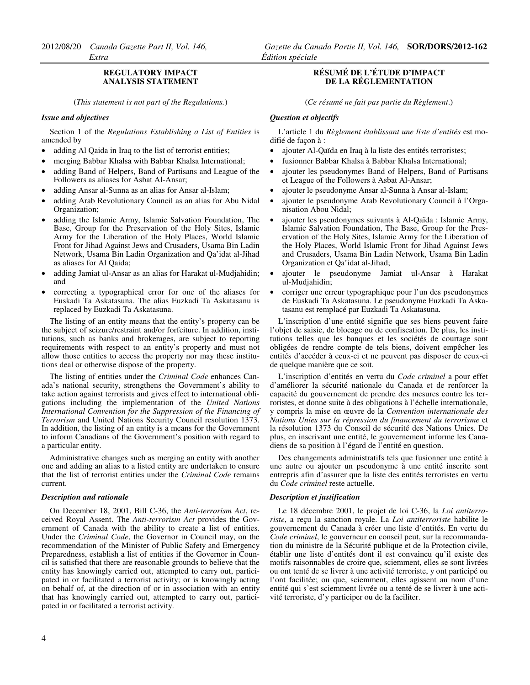*Extra Édition spéciale* 

#### **REGULATORY IMPACT ANALYSIS STATEMENT**

Section 1 of the *Regulations Establishing a List of Entities* is amended by

- adding Al Qaida in Iraq to the list of terrorist entities;
- merging Babbar Khalsa with Babbar Khalsa International;
- adding Band of Helpers, Band of Partisans and League of the Followers as aliases for Asbat Al-Ansar;
- adding Ansar al-Sunna as an alias for Ansar al-Islam;
- adding Arab Revolutionary Council as an alias for Abu Nidal Organization;
- adding the Islamic Army, Islamic Salvation Foundation, The Base, Group for the Preservation of the Holy Sites, Islamic Army for the Liberation of the Holy Places, World Islamic Front for Jihad Against Jews and Crusaders, Usama Bin Ladin Network, Usama Bin Ladin Organization and Qa'idat al-Jihad as aliases for Al Qaida;
- adding Jamiat ul-Ansar as an alias for Harakat ul-Mudjahidin; and
- correcting a typographical error for one of the aliases for Euskadi Ta Askatasuna. The alias Euzkadi Ta Askatasanu is replaced by Euzkadi Ta Askatasuna.

The listing of an entity means that the entity's property can be the subject of seizure/restraint and/or forfeiture. In addition, institutions, such as banks and brokerages, are subject to reporting requirements with respect to an entity's property and must not allow those entities to access the property nor may these institutions deal or otherwise dispose of the property.

The listing of entities under the *Criminal Code* enhances Canada's national security, strengthens the Government's ability to take action against terrorists and gives effect to international obligations including the implementation of the *United Nations International Convention for the Suppression of the Financing of Terrorism* and United Nations Security Council resolution 1373. In addition, the listing of an entity is a means for the Government to inform Canadians of the Government's position with regard to a particular entity.

Administrative changes such as merging an entity with another one and adding an alias to a listed entity are undertaken to ensure that the list of terrorist entities under the *Criminal Code* remains current.

On December 18, 2001, Bill C-36, the *Anti-terrorism Act*, received Royal Assent. The *Anti-terrorism Act* provides the Government of Canada with the ability to create a list of entities. Under the *Criminal Code*, the Governor in Council may, on the recommendation of the Minister of Public Safety and Emergency Preparedness, establish a list of entities if the Governor in Council is satisfied that there are reasonable grounds to believe that the entity has knowingly carried out, attempted to carry out, participated in or facilitated a terrorist activity; or is knowingly acting on behalf of, at the direction of or in association with an entity that has knowingly carried out, attempted to carry out, participated in or facilitated a terrorist activity.

## **RÉSUMÉ DE L'ÉTUDE D'IMPACT DE LA RÉGLEMENTATION**

(*This statement is not part of the Regulations.*) (*Ce résumé ne fait pas partie du Règlement*.)

## *Issue and objectives Question et objectifs*

L'article 1 du *Règlement établissant une liste d'entités* est modifié de façon à :

- ajouter Al-Qaïda en Iraq à la liste des entités terroristes;
- fusionner Babbar Khalsa à Babbar Khalsa International;
- ajouter les pseudonymes Band of Helpers, Band of Partisans et League of the Followers à Asbat Al-Ansar;
- ajouter le pseudonyme Ansar al-Sunna à Ansar al-Islam;
- ajouter le pseudonyme Arab Revolutionary Council à l'Organisation Abou Nidal;
- ajouter les pseudonymes suivants à Al-Qaïda : Islamic Army, Islamic Salvation Foundation, The Base, Group for the Preservation of the Holy Sites, Islamic Army for the Liberation of the Holy Places, World Islamic Front for Jihad Against Jews and Crusaders, Usama Bin Ladin Network, Usama Bin Ladin Organization et Qa'idat al-Jihad;
- ajouter le pseudonyme Jamiat ul-Ansar à Harakat ul-Mudjahidin;
- corriger une erreur typographique pour l'un des pseudonymes de Euskadi Ta Askatasuna. Le pseudonyme Euzkadi Ta Askatasanu est remplacé par Euzkadi Ta Askatasuna.

L'inscription d'une entité signifie que ses biens peuvent faire l'objet de saisie, de blocage ou de confiscation. De plus, les institutions telles que les banques et les sociétés de courtage sont obligées de rendre compte de tels biens, doivent empêcher les entités d'accéder à ceux-ci et ne peuvent pas disposer de ceux-ci de quelque manière que ce soit.

L'inscription d'entités en vertu du *Code criminel* a pour effet d'améliorer la sécurité nationale du Canada et de renforcer la capacité du gouvernement de prendre des mesures contre les terroristes, et donne suite à des obligations à l'échelle internationale, y compris la mise en œuvre de la *Convention internationale des Nations Unies sur la répression du financement du terrorisme* et la résolution 1373 du Conseil de sécurité des Nations Unies. De plus, en inscrivant une entité, le gouvernement informe les Canadiens de sa position à l'égard de l'entité en question.

Des changements administratifs tels que fusionner une entité à une autre ou ajouter un pseudonyme à une entité inscrite sont entrepris afin d'assurer que la liste des entités terroristes en vertu du *Code criminel* reste actuelle.

#### *Description and rationale Description et justification*

Le 18 décembre 2001, le projet de loi C-36, la *Loi antiterroriste*, a reçu la sanction royale. La *Loi antiterroriste* habilite le gouvernement du Canada à créer une liste d'entités. En vertu du *Code criminel*, le gouverneur en conseil peut, sur la recommandation du ministre de la Sécurité publique et de la Protection civile, établir une liste d'entités dont il est convaincu qu'il existe des motifs raisonnables de croire que, sciemment, elles se sont livrées ou ont tenté de se livrer à une activité terroriste, y ont participé ou l'ont facilitée; ou que, sciemment, elles agissent au nom d'une entité qui s'est sciemment livrée ou a tenté de se livrer à une activité terroriste, d'y participer ou de la faciliter.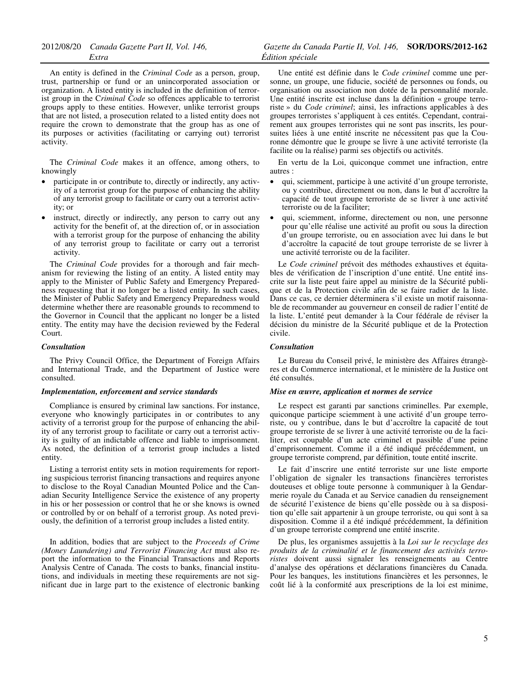An entity is defined in the *Criminal Code* as a person, group, trust, partnership or fund or an unincorporated association or organization. A listed entity is included in the definition of terrorist group in the C*riminal Code* so offences applicable to terrorist groups apply to these entities. However, unlike terrorist groups that are not listed, a prosecution related to a listed entity does not require the crown to demonstrate that the group has as one of its purposes or activities (facilitating or carrying out) terrorist activity.

The *Criminal Code* makes it an offence, among others, to knowingly

- participate in or contribute to, directly or indirectly, any activity of a terrorist group for the purpose of enhancing the ability of any terrorist group to facilitate or carry out a terrorist activity; or
- instruct, directly or indirectly, any person to carry out any activity for the benefit of, at the direction of, or in association with a terrorist group for the purpose of enhancing the ability of any terrorist group to facilitate or carry out a terrorist activity.

The *Criminal Code* provides for a thorough and fair mechanism for reviewing the listing of an entity. A listed entity may apply to the Minister of Public Safety and Emergency Preparedness requesting that it no longer be a listed entity. In such cases, the Minister of Public Safety and Emergency Preparedness would determine whether there are reasonable grounds to recommend to the Governor in Council that the applicant no longer be a listed entity. The entity may have the decision reviewed by the Federal Court.

#### *Consultation Consultation*

The Privy Council Office, the Department of Foreign Affairs and International Trade, and the Department of Justice were consulted.

#### *Implementation, enforcement and service standards Mise en œuvre, application et normes de service*

Compliance is ensured by criminal law sanctions. For instance, everyone who knowingly participates in or contributes to any activity of a terrorist group for the purpose of enhancing the ability of any terrorist group to facilitate or carry out a terrorist activity is guilty of an indictable offence and liable to imprisonment. As noted, the definition of a terrorist group includes a listed entity.

Listing a terrorist entity sets in motion requirements for reporting suspicious terrorist financing transactions and requires anyone to disclose to the Royal Canadian Mounted Police and the Canadian Security Intelligence Service the existence of any property in his or her possession or control that he or she knows is owned or controlled by or on behalf of a terrorist group. As noted previously, the definition of a terrorist group includes a listed entity*.*

In addition, bodies that are subject to the *Proceeds of Crime (Money Laundering) and Terrorist Financing Act* must also report the information to the Financial Transactions and Reports Analysis Centre of Canada. The costs to banks, financial institutions, and individuals in meeting these requirements are not significant due in large part to the existence of electronic banking

Une entité est définie dans le *Code criminel* comme une personne, un groupe, une fiducie, société de personnes ou fonds, ou organisation ou association non dotée de la personnalité morale. Une entité inscrite est incluse dans la définition « groupe terroriste » du *Code criminel*; ainsi, les infractions applicables à des groupes terroristes s'appliquent à ces entités. Cependant, contrairement aux groupes terroristes qui ne sont pas inscrits, les poursuites liées à une entité inscrite ne nécessitent pas que la Couronne démontre que le groupe se livre à une activité terroriste (la facilite ou la réalise) parmi ses objectifs ou activités.

En vertu de la Loi, quiconque commet une infraction, entre autres :

- qui, sciemment, participe à une activité d'un groupe terroriste, ou y contribue, directement ou non, dans le but d'accroître la capacité de tout groupe terroriste de se livrer à une activité terroriste ou de la faciliter;
- qui, sciemment, informe, directement ou non, une personne pour qu'elle réalise une activité au profit ou sous la direction d'un groupe terroriste, ou en association avec lui dans le but d'accroître la capacité de tout groupe terroriste de se livrer à une activité terroriste ou de la faciliter.

Le *Code criminel* prévoit des méthodes exhaustives et équitables de vérification de l'inscription d'une entité. Une entité inscrite sur la liste peut faire appel au ministre de la Sécurité publique et de la Protection civile afin de se faire radier de la liste. Dans ce cas, ce dernier déterminera s'il existe un motif raisonnable de recommander au gouverneur en conseil de radier l'entité de la liste. L'entité peut demander à la Cour fédérale de réviser la décision du ministre de la Sécurité publique et de la Protection civile.

Le Bureau du Conseil privé, le ministère des Affaires étrangères et du Commerce international, et le ministère de la Justice ont été consultés.

Le respect est garanti par sanctions criminelles. Par exemple, quiconque participe sciemment à une activité d'un groupe terroriste, ou y contribue, dans le but d'accroître la capacité de tout groupe terroriste de se livrer à une activité terroriste ou de la faciliter, est coupable d'un acte criminel et passible d'une peine d'emprisonnement. Comme il a été indiqué précédemment, un groupe terroriste comprend, par définition, toute entité inscrite.

Le fait d'inscrire une entité terroriste sur une liste emporte l'obligation de signaler les transactions financières terroristes douteuses et oblige toute personne à communiquer à la Gendarmerie royale du Canada et au Service canadien du renseignement de sécurité l'existence de biens qu'elle possède ou à sa disposition qu'elle sait appartenir à un groupe terroriste, ou qui sont à sa disposition. Comme il a été indiqué précédemment, la définition d'un groupe terroriste comprend une entité inscrite.

De plus, les organismes assujettis à la *Loi sur le recyclage des produits de la criminalité et le financement des activités terroristes* doivent aussi signaler les renseignements au Centre d'analyse des opérations et déclarations financières du Canada. Pour les banques, les institutions financières et les personnes, le coût lié à la conformité aux prescriptions de la loi est minime,